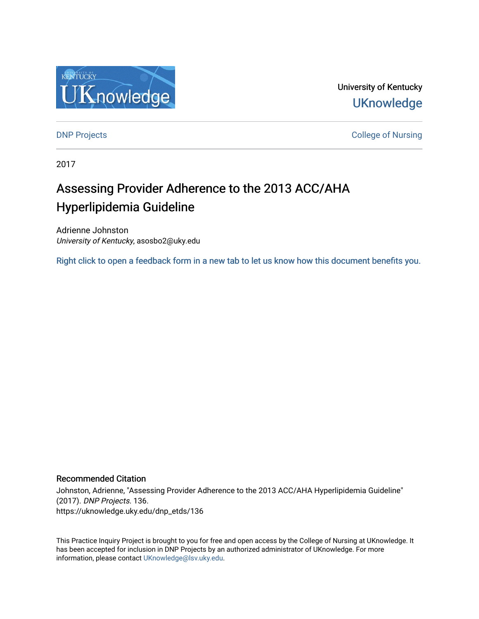

University of Kentucky **UKnowledge** 

**DNP Projects** College of Nursing

2017

# Assessing Provider Adherence to the 2013 ACC/AHA Hyperlipidemia Guideline

Adrienne Johnston University of Kentucky, asosbo2@uky.edu

[Right click to open a feedback form in a new tab to let us know how this document benefits you.](https://uky.az1.qualtrics.com/jfe/form/SV_9mq8fx2GnONRfz7)

#### Recommended Citation

Johnston, Adrienne, "Assessing Provider Adherence to the 2013 ACC/AHA Hyperlipidemia Guideline" (2017). DNP Projects. 136. https://uknowledge.uky.edu/dnp\_etds/136

This Practice Inquiry Project is brought to you for free and open access by the College of Nursing at UKnowledge. It has been accepted for inclusion in DNP Projects by an authorized administrator of UKnowledge. For more information, please contact [UKnowledge@lsv.uky.edu](mailto:UKnowledge@lsv.uky.edu).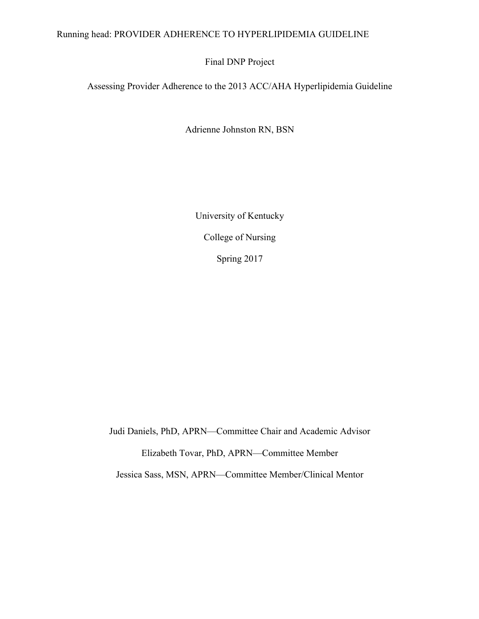# Running head: PROVIDER ADHERENCE TO HYPERLIPIDEMIA GUIDELINE

Final DNP Project

Assessing Provider Adherence to the 2013 ACC/AHA Hyperlipidemia Guideline

Adrienne Johnston RN, BSN

University of Kentucky College of Nursing Spring 2017

Judi Daniels, PhD, APRN—Committee Chair and Academic Advisor

Elizabeth Tovar, PhD, APRN—Committee Member

Jessica Sass, MSN, APRN—Committee Member/Clinical Mentor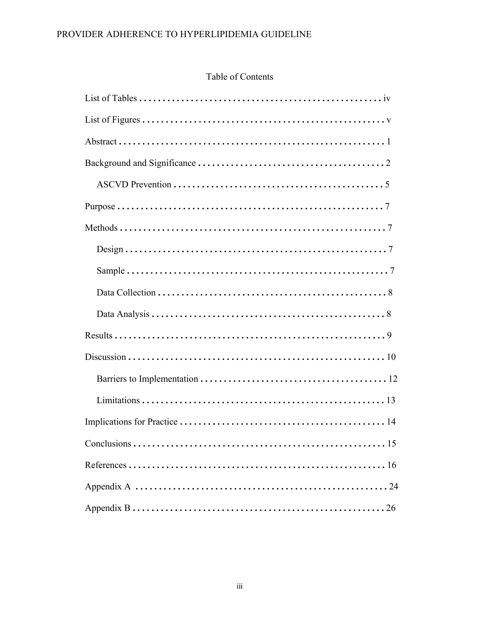# Table of Contents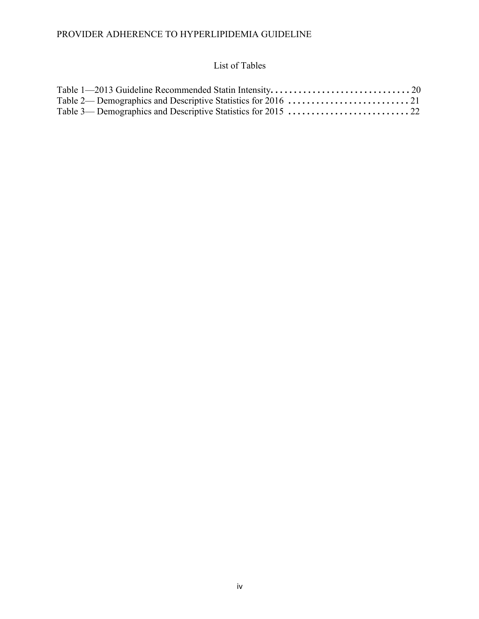# List of Tables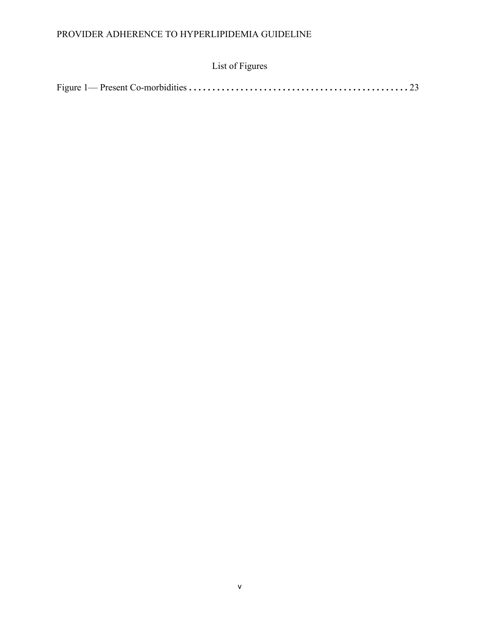# List of Figures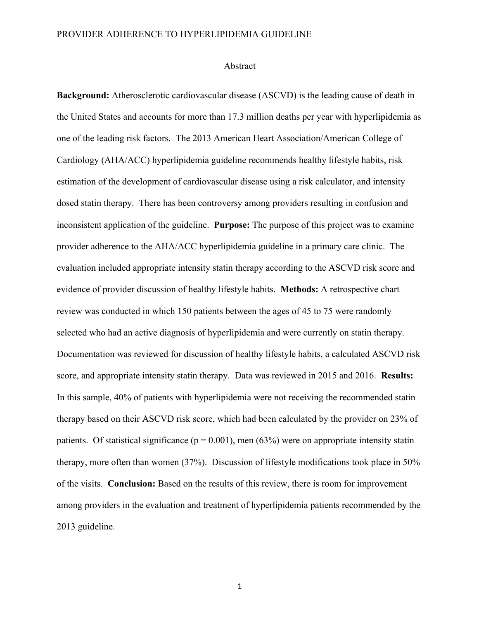#### Abstract

**Background:** Atherosclerotic cardiovascular disease (ASCVD) is the leading cause of death in the United States and accounts for more than 17.3 million deaths per year with hyperlipidemia as one of the leading risk factors. The 2013 American Heart Association/American College of Cardiology (AHA/ACC) hyperlipidemia guideline recommends healthy lifestyle habits, risk estimation of the development of cardiovascular disease using a risk calculator, and intensity dosed statin therapy. There has been controversy among providers resulting in confusion and inconsistent application of the guideline. **Purpose:** The purpose of this project was to examine provider adherence to the AHA/ACC hyperlipidemia guideline in a primary care clinic. The evaluation included appropriate intensity statin therapy according to the ASCVD risk score and evidence of provider discussion of healthy lifestyle habits. **Methods:** A retrospective chart review was conducted in which 150 patients between the ages of 45 to 75 were randomly selected who had an active diagnosis of hyperlipidemia and were currently on statin therapy. Documentation was reviewed for discussion of healthy lifestyle habits, a calculated ASCVD risk score, and appropriate intensity statin therapy. Data was reviewed in 2015 and 2016. **Results:** In this sample, 40% of patients with hyperlipidemia were not receiving the recommended statin therapy based on their ASCVD risk score, which had been calculated by the provider on 23% of patients. Of statistical significance ( $p = 0.001$ ), men (63%) were on appropriate intensity statin therapy, more often than women (37%). Discussion of lifestyle modifications took place in 50% of the visits. **Conclusion:** Based on the results of this review, there is room for improvement among providers in the evaluation and treatment of hyperlipidemia patients recommended by the 2013 guideline.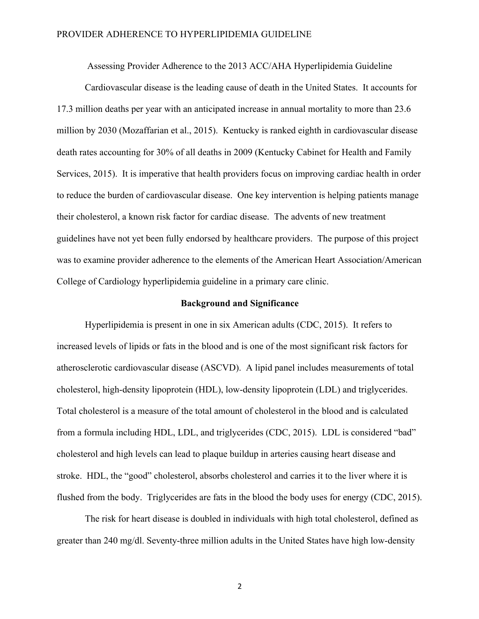Assessing Provider Adherence to the 2013 ACC/AHA Hyperlipidemia Guideline

Cardiovascular disease is the leading cause of death in the United States. It accounts for 17.3 million deaths per year with an anticipated increase in annual mortality to more than 23.6 million by 2030 (Mozaffarian et al., 2015). Kentucky is ranked eighth in cardiovascular disease death rates accounting for 30% of all deaths in 2009 (Kentucky Cabinet for Health and Family Services, 2015). It is imperative that health providers focus on improving cardiac health in order to reduce the burden of cardiovascular disease. One key intervention is helping patients manage their cholesterol, a known risk factor for cardiac disease. The advents of new treatment guidelines have not yet been fully endorsed by healthcare providers. The purpose of this project was to examine provider adherence to the elements of the American Heart Association/American College of Cardiology hyperlipidemia guideline in a primary care clinic.

#### **Background and Significance**

Hyperlipidemia is present in one in six American adults (CDC, 2015). It refers to increased levels of lipids or fats in the blood and is one of the most significant risk factors for atherosclerotic cardiovascular disease (ASCVD). A lipid panel includes measurements of total cholesterol, high-density lipoprotein (HDL), low-density lipoprotein (LDL) and triglycerides. Total cholesterol is a measure of the total amount of cholesterol in the blood and is calculated from a formula including HDL, LDL, and triglycerides (CDC, 2015). LDL is considered "bad" cholesterol and high levels can lead to plaque buildup in arteries causing heart disease and stroke. HDL, the "good" cholesterol, absorbs cholesterol and carries it to the liver where it is flushed from the body. Triglycerides are fats in the blood the body uses for energy (CDC, 2015).

The risk for heart disease is doubled in individuals with high total cholesterol, defined as greater than 240 mg/dl. Seventy-three million adults in the United States have high low-density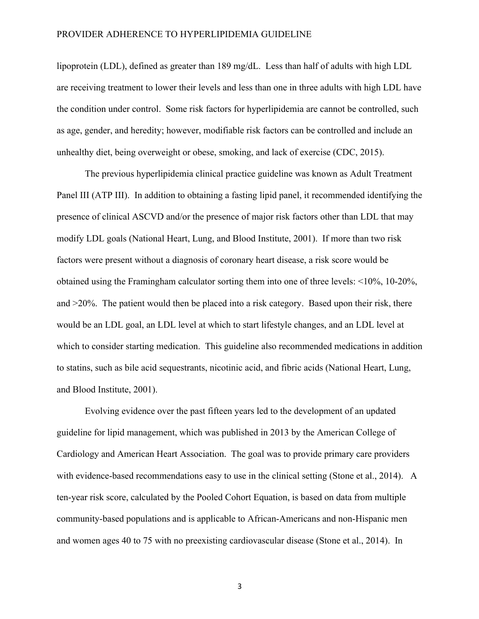lipoprotein (LDL), defined as greater than 189 mg/dL. Less than half of adults with high LDL are receiving treatment to lower their levels and less than one in three adults with high LDL have the condition under control. Some risk factors for hyperlipidemia are cannot be controlled, such as age, gender, and heredity; however, modifiable risk factors can be controlled and include an unhealthy diet, being overweight or obese, smoking, and lack of exercise (CDC, 2015).

The previous hyperlipidemia clinical practice guideline was known as Adult Treatment Panel III (ATP III). In addition to obtaining a fasting lipid panel, it recommended identifying the presence of clinical ASCVD and/or the presence of major risk factors other than LDL that may modify LDL goals (National Heart, Lung, and Blood Institute, 2001). If more than two risk factors were present without a diagnosis of coronary heart disease, a risk score would be obtained using the Framingham calculator sorting them into one of three levels: <10%, 10-20%, and  $>20\%$ . The patient would then be placed into a risk category. Based upon their risk, there would be an LDL goal, an LDL level at which to start lifestyle changes, and an LDL level at which to consider starting medication. This guideline also recommended medications in addition to statins, such as bile acid sequestrants, nicotinic acid, and fibric acids (National Heart, Lung, and Blood Institute, 2001).

Evolving evidence over the past fifteen years led to the development of an updated guideline for lipid management, which was published in 2013 by the American College of Cardiology and American Heart Association. The goal was to provide primary care providers with evidence-based recommendations easy to use in the clinical setting (Stone et al., 2014). A ten-year risk score, calculated by the Pooled Cohort Equation, is based on data from multiple community-based populations and is applicable to African-Americans and non-Hispanic men and women ages 40 to 75 with no preexisting cardiovascular disease (Stone et al., 2014). In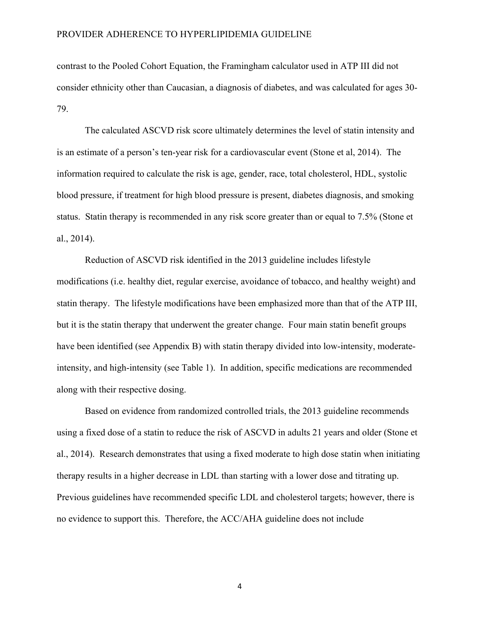contrast to the Pooled Cohort Equation, the Framingham calculator used in ATP III did not consider ethnicity other than Caucasian, a diagnosis of diabetes, and was calculated for ages 30- 79.

The calculated ASCVD risk score ultimately determines the level of statin intensity and is an estimate of a person's ten-year risk for a cardiovascular event (Stone et al, 2014). The information required to calculate the risk is age, gender, race, total cholesterol, HDL, systolic blood pressure, if treatment for high blood pressure is present, diabetes diagnosis, and smoking status. Statin therapy is recommended in any risk score greater than or equal to 7.5% (Stone et al., 2014).

Reduction of ASCVD risk identified in the 2013 guideline includes lifestyle modifications (i.e. healthy diet, regular exercise, avoidance of tobacco, and healthy weight) and statin therapy. The lifestyle modifications have been emphasized more than that of the ATP III, but it is the statin therapy that underwent the greater change. Four main statin benefit groups have been identified (see Appendix B) with statin therapy divided into low-intensity, moderateintensity, and high-intensity (see Table 1). In addition, specific medications are recommended along with their respective dosing.

Based on evidence from randomized controlled trials, the 2013 guideline recommends using a fixed dose of a statin to reduce the risk of ASCVD in adults 21 years and older (Stone et al., 2014). Research demonstrates that using a fixed moderate to high dose statin when initiating therapy results in a higher decrease in LDL than starting with a lower dose and titrating up. Previous guidelines have recommended specific LDL and cholesterol targets; however, there is no evidence to support this. Therefore, the ACC/AHA guideline does not include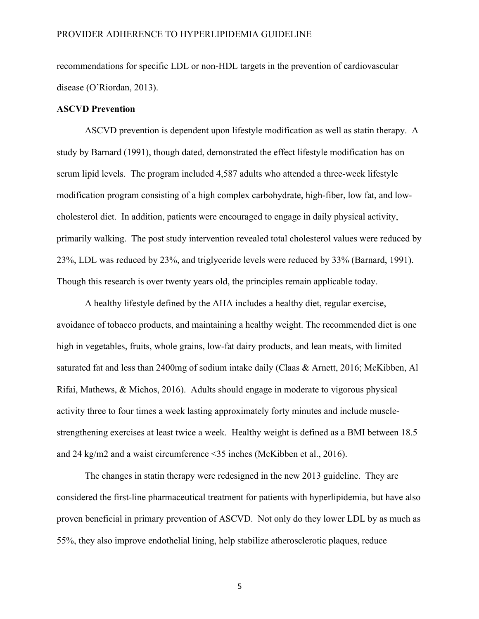recommendations for specific LDL or non-HDL targets in the prevention of cardiovascular disease (O'Riordan, 2013).

### **ASCVD Prevention**

ASCVD prevention is dependent upon lifestyle modification as well as statin therapy. A study by Barnard (1991), though dated, demonstrated the effect lifestyle modification has on serum lipid levels. The program included 4,587 adults who attended a three-week lifestyle modification program consisting of a high complex carbohydrate, high-fiber, low fat, and lowcholesterol diet. In addition, patients were encouraged to engage in daily physical activity, primarily walking. The post study intervention revealed total cholesterol values were reduced by 23%, LDL was reduced by 23%, and triglyceride levels were reduced by 33% (Barnard, 1991). Though this research is over twenty years old, the principles remain applicable today.

A healthy lifestyle defined by the AHA includes a healthy diet, regular exercise, avoidance of tobacco products, and maintaining a healthy weight. The recommended diet is one high in vegetables, fruits, whole grains, low-fat dairy products, and lean meats, with limited saturated fat and less than 2400mg of sodium intake daily (Claas & Arnett, 2016; McKibben, Al Rifai, Mathews, & Michos, 2016). Adults should engage in moderate to vigorous physical activity three to four times a week lasting approximately forty minutes and include musclestrengthening exercises at least twice a week. Healthy weight is defined as a BMI between 18.5 and 24 kg/m2 and a waist circumference <35 inches (McKibben et al., 2016).

The changes in statin therapy were redesigned in the new 2013 guideline. They are considered the first-line pharmaceutical treatment for patients with hyperlipidemia, but have also proven beneficial in primary prevention of ASCVD. Not only do they lower LDL by as much as 55%, they also improve endothelial lining, help stabilize atherosclerotic plaques, reduce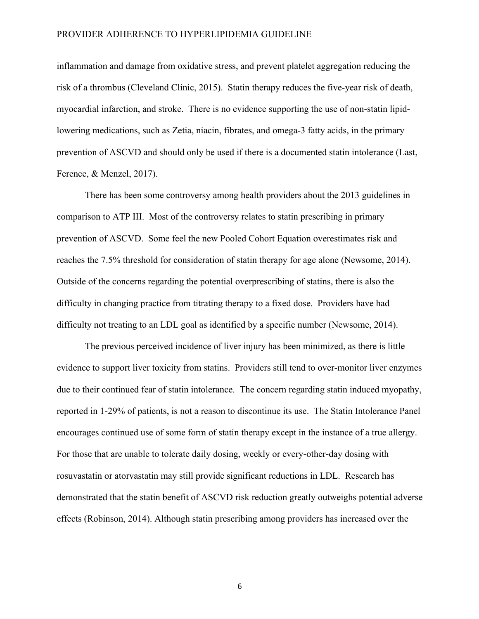inflammation and damage from oxidative stress, and prevent platelet aggregation reducing the risk of a thrombus (Cleveland Clinic, 2015). Statin therapy reduces the five-year risk of death, myocardial infarction, and stroke. There is no evidence supporting the use of non-statin lipidlowering medications, such as Zetia, niacin, fibrates, and omega-3 fatty acids, in the primary prevention of ASCVD and should only be used if there is a documented statin intolerance (Last, Ference, & Menzel, 2017).

There has been some controversy among health providers about the 2013 guidelines in comparison to ATP III. Most of the controversy relates to statin prescribing in primary prevention of ASCVD. Some feel the new Pooled Cohort Equation overestimates risk and reaches the 7.5% threshold for consideration of statin therapy for age alone (Newsome, 2014). Outside of the concerns regarding the potential overprescribing of statins, there is also the difficulty in changing practice from titrating therapy to a fixed dose. Providers have had difficulty not treating to an LDL goal as identified by a specific number (Newsome, 2014).

The previous perceived incidence of liver injury has been minimized, as there is little evidence to support liver toxicity from statins. Providers still tend to over-monitor liver enzymes due to their continued fear of statin intolerance. The concern regarding statin induced myopathy, reported in 1-29% of patients, is not a reason to discontinue its use. The Statin Intolerance Panel encourages continued use of some form of statin therapy except in the instance of a true allergy. For those that are unable to tolerate daily dosing, weekly or every-other-day dosing with rosuvastatin or atorvastatin may still provide significant reductions in LDL. Research has demonstrated that the statin benefit of ASCVD risk reduction greatly outweighs potential adverse effects (Robinson, 2014). Although statin prescribing among providers has increased over the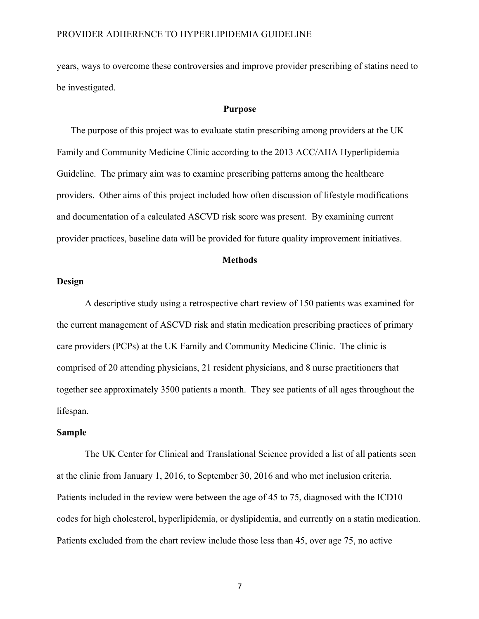years, ways to overcome these controversies and improve provider prescribing of statins need to be investigated.

#### **Purpose**

The purpose of this project was to evaluate statin prescribing among providers at the UK Family and Community Medicine Clinic according to the 2013 ACC/AHA Hyperlipidemia Guideline. The primary aim was to examine prescribing patterns among the healthcare providers. Other aims of this project included how often discussion of lifestyle modifications and documentation of a calculated ASCVD risk score was present. By examining current provider practices, baseline data will be provided for future quality improvement initiatives.

#### **Methods**

### **Design**

A descriptive study using a retrospective chart review of 150 patients was examined for the current management of ASCVD risk and statin medication prescribing practices of primary care providers (PCPs) at the UK Family and Community Medicine Clinic. The clinic is comprised of 20 attending physicians, 21 resident physicians, and 8 nurse practitioners that together see approximately 3500 patients a month. They see patients of all ages throughout the lifespan.

#### **Sample**

The UK Center for Clinical and Translational Science provided a list of all patients seen at the clinic from January 1, 2016, to September 30, 2016 and who met inclusion criteria. Patients included in the review were between the age of 45 to 75, diagnosed with the ICD10 codes for high cholesterol, hyperlipidemia, or dyslipidemia, and currently on a statin medication. Patients excluded from the chart review include those less than 45, over age 75, no active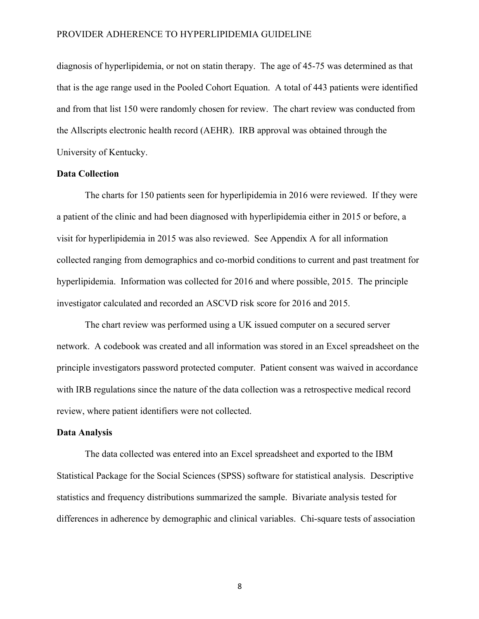diagnosis of hyperlipidemia, or not on statin therapy. The age of 45-75 was determined as that that is the age range used in the Pooled Cohort Equation. A total of 443 patients were identified and from that list 150 were randomly chosen for review. The chart review was conducted from the Allscripts electronic health record (AEHR). IRB approval was obtained through the University of Kentucky.

#### **Data Collection**

The charts for 150 patients seen for hyperlipidemia in 2016 were reviewed. If they were a patient of the clinic and had been diagnosed with hyperlipidemia either in 2015 or before, a visit for hyperlipidemia in 2015 was also reviewed. See Appendix A for all information collected ranging from demographics and co-morbid conditions to current and past treatment for hyperlipidemia. Information was collected for 2016 and where possible, 2015. The principle investigator calculated and recorded an ASCVD risk score for 2016 and 2015.

The chart review was performed using a UK issued computer on a secured server network. A codebook was created and all information was stored in an Excel spreadsheet on the principle investigators password protected computer. Patient consent was waived in accordance with IRB regulations since the nature of the data collection was a retrospective medical record review, where patient identifiers were not collected.

### **Data Analysis**

The data collected was entered into an Excel spreadsheet and exported to the IBM Statistical Package for the Social Sciences (SPSS) software for statistical analysis. Descriptive statistics and frequency distributions summarized the sample. Bivariate analysis tested for differences in adherence by demographic and clinical variables. Chi-square tests of association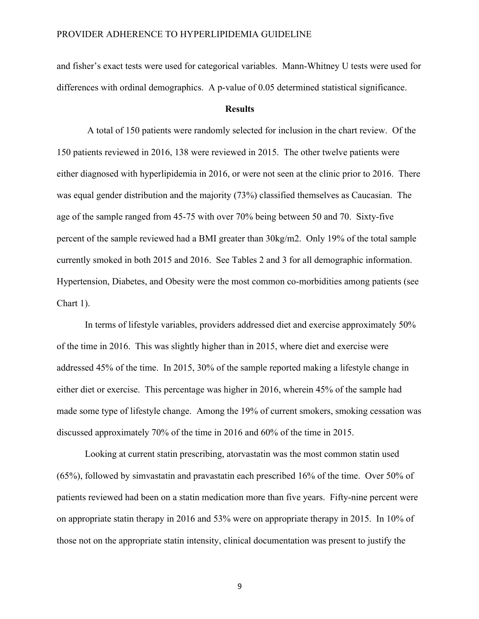and fisher's exact tests were used for categorical variables. Mann-Whitney U tests were used for differences with ordinal demographics. A p-value of 0.05 determined statistical significance.

#### **Results**

A total of 150 patients were randomly selected for inclusion in the chart review. Of the 150 patients reviewed in 2016, 138 were reviewed in 2015. The other twelve patients were either diagnosed with hyperlipidemia in 2016, or were not seen at the clinic prior to 2016. There was equal gender distribution and the majority (73%) classified themselves as Caucasian. The age of the sample ranged from 45-75 with over 70% being between 50 and 70. Sixty-five percent of the sample reviewed had a BMI greater than 30kg/m2. Only 19% of the total sample currently smoked in both 2015 and 2016. See Tables 2 and 3 for all demographic information. Hypertension, Diabetes, and Obesity were the most common co-morbidities among patients (see Chart 1).

In terms of lifestyle variables, providers addressed diet and exercise approximately 50% of the time in 2016. This was slightly higher than in 2015, where diet and exercise were addressed 45% of the time. In 2015, 30% of the sample reported making a lifestyle change in either diet or exercise. This percentage was higher in 2016, wherein 45% of the sample had made some type of lifestyle change. Among the 19% of current smokers, smoking cessation was discussed approximately 70% of the time in 2016 and 60% of the time in 2015.

Looking at current statin prescribing, atorvastatin was the most common statin used (65%), followed by simvastatin and pravastatin each prescribed 16% of the time. Over 50% of patients reviewed had been on a statin medication more than five years. Fifty-nine percent were on appropriate statin therapy in 2016 and 53% were on appropriate therapy in 2015. In 10% of those not on the appropriate statin intensity, clinical documentation was present to justify the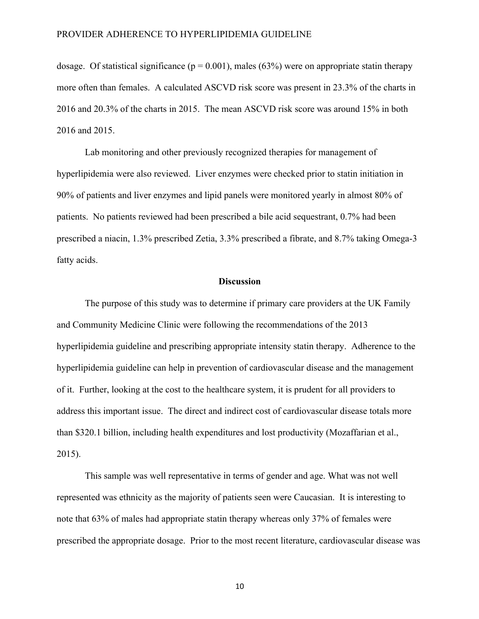dosage. Of statistical significance ( $p = 0.001$ ), males (63%) were on appropriate statin therapy more often than females. A calculated ASCVD risk score was present in 23.3% of the charts in 2016 and 20.3% of the charts in 2015. The mean ASCVD risk score was around 15% in both 2016 and 2015.

Lab monitoring and other previously recognized therapies for management of hyperlipidemia were also reviewed. Liver enzymes were checked prior to statin initiation in 90% of patients and liver enzymes and lipid panels were monitored yearly in almost 80% of patients. No patients reviewed had been prescribed a bile acid sequestrant, 0.7% had been prescribed a niacin, 1.3% prescribed Zetia, 3.3% prescribed a fibrate, and 8.7% taking Omega-3 fatty acids.

#### **Discussion**

The purpose of this study was to determine if primary care providers at the UK Family and Community Medicine Clinic were following the recommendations of the 2013 hyperlipidemia guideline and prescribing appropriate intensity statin therapy. Adherence to the hyperlipidemia guideline can help in prevention of cardiovascular disease and the management of it. Further, looking at the cost to the healthcare system, it is prudent for all providers to address this important issue. The direct and indirect cost of cardiovascular disease totals more than \$320.1 billion, including health expenditures and lost productivity (Mozaffarian et al., 2015).

This sample was well representative in terms of gender and age. What was not well represented was ethnicity as the majority of patients seen were Caucasian. It is interesting to note that 63% of males had appropriate statin therapy whereas only 37% of females were prescribed the appropriate dosage. Prior to the most recent literature, cardiovascular disease was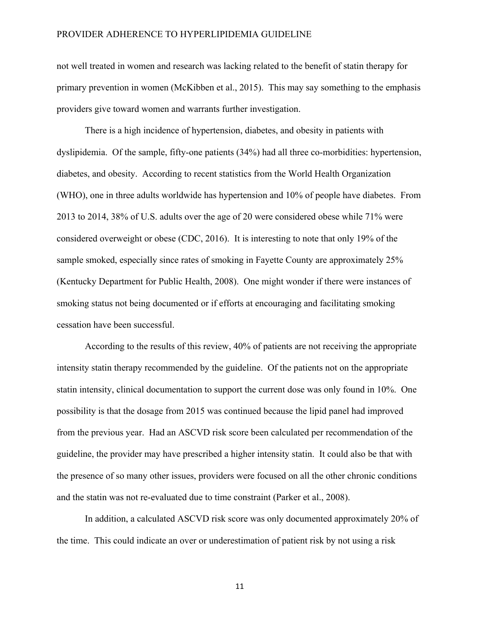not well treated in women and research was lacking related to the benefit of statin therapy for primary prevention in women (McKibben et al., 2015). This may say something to the emphasis providers give toward women and warrants further investigation.

There is a high incidence of hypertension, diabetes, and obesity in patients with dyslipidemia. Of the sample, fifty-one patients (34%) had all three co-morbidities: hypertension, diabetes, and obesity. According to recent statistics from the World Health Organization (WHO), one in three adults worldwide has hypertension and 10% of people have diabetes. From 2013 to 2014, 38% of U.S. adults over the age of 20 were considered obese while 71% were considered overweight or obese (CDC, 2016). It is interesting to note that only 19% of the sample smoked, especially since rates of smoking in Fayette County are approximately 25% (Kentucky Department for Public Health, 2008). One might wonder if there were instances of smoking status not being documented or if efforts at encouraging and facilitating smoking cessation have been successful.

According to the results of this review, 40% of patients are not receiving the appropriate intensity statin therapy recommended by the guideline. Of the patients not on the appropriate statin intensity, clinical documentation to support the current dose was only found in 10%. One possibility is that the dosage from 2015 was continued because the lipid panel had improved from the previous year. Had an ASCVD risk score been calculated per recommendation of the guideline, the provider may have prescribed a higher intensity statin. It could also be that with the presence of so many other issues, providers were focused on all the other chronic conditions and the statin was not re-evaluated due to time constraint (Parker et al., 2008).

In addition, a calculated ASCVD risk score was only documented approximately 20% of the time. This could indicate an over or underestimation of patient risk by not using a risk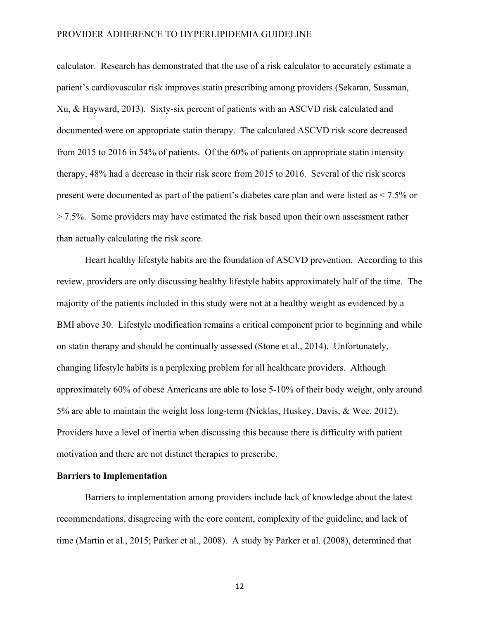calculator. Research has demonstrated that the use of a risk calculator to accurately estimate a patient's cardiovascular risk improves statin prescribing among providers (Sekaran, Sussman, Xu, & Hayward, 2013). Sixty-six percent of patients with an ASCVD risk calculated and documented were on appropriate statin therapy. The calculated ASCVD risk score decreased from 2015 to 2016 in 54% of patients. Of the 60% of patients on appropriate statin intensity therapy, 48% had a decrease in their risk score from 2015 to 2016. Several of the risk scores present were documented as part of the patient's diabetes care plan and were listed as < 7.5% or  $> 7.5\%$ . Some providers may have estimated the risk based upon their own assessment rather than actually calculating the risk score.

Heart healthy lifestyle habits are the foundation of ASCVD prevention. According to this review, providers are only discussing healthy lifestyle habits approximately half of the time. The majority of the patients included in this study were not at a healthy weight as evidenced by a BMI above 30. Lifestyle modification remains a critical component prior to beginning and while on statin therapy and should be continually assessed (Stone et al., 2014). Unfortunately, changing lifestyle habits is a perplexing problem for all healthcare providers. Although approximately 60% of obese Americans are able to lose 5-10% of their body weight, only around 5% are able to maintain the weight loss long-term (Nicklas, Huskey, Davis, & Wee, 2012). Providers have a level of inertia when discussing this because there is difficulty with patient motivation and there are not distinct therapies to prescribe.

#### **Barriers to Implementation**

Barriers to implementation among providers include lack of knowledge about the latest recommendations, disagreeing with the core content, complexity of the guideline, and lack of time (Martin et al., 2015; Parker et al., 2008). A study by Parker et al. (2008), determined that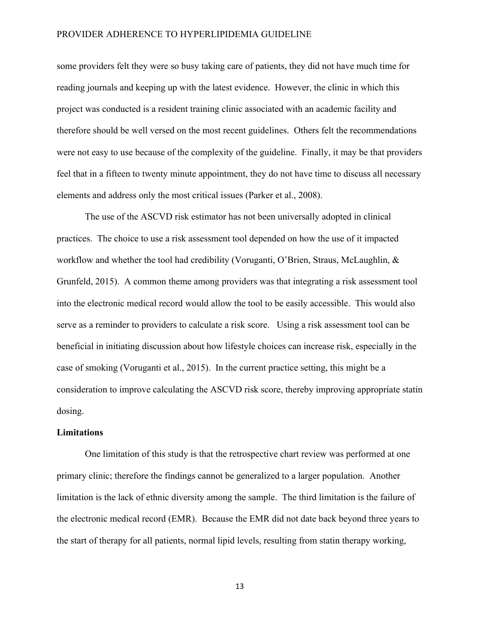some providers felt they were so busy taking care of patients, they did not have much time for reading journals and keeping up with the latest evidence. However, the clinic in which this project was conducted is a resident training clinic associated with an academic facility and therefore should be well versed on the most recent guidelines. Others felt the recommendations were not easy to use because of the complexity of the guideline. Finally, it may be that providers feel that in a fifteen to twenty minute appointment, they do not have time to discuss all necessary elements and address only the most critical issues (Parker et al., 2008).

The use of the ASCVD risk estimator has not been universally adopted in clinical practices. The choice to use a risk assessment tool depended on how the use of it impacted workflow and whether the tool had credibility (Voruganti, O'Brien, Straus, McLaughlin, & Grunfeld, 2015). A common theme among providers was that integrating a risk assessment tool into the electronic medical record would allow the tool to be easily accessible. This would also serve as a reminder to providers to calculate a risk score. Using a risk assessment tool can be beneficial in initiating discussion about how lifestyle choices can increase risk, especially in the case of smoking (Voruganti et al., 2015). In the current practice setting, this might be a consideration to improve calculating the ASCVD risk score, thereby improving appropriate statin dosing.

#### **Limitations**

One limitation of this study is that the retrospective chart review was performed at one primary clinic; therefore the findings cannot be generalized to a larger population. Another limitation is the lack of ethnic diversity among the sample. The third limitation is the failure of the electronic medical record (EMR). Because the EMR did not date back beyond three years to the start of therapy for all patients, normal lipid levels, resulting from statin therapy working,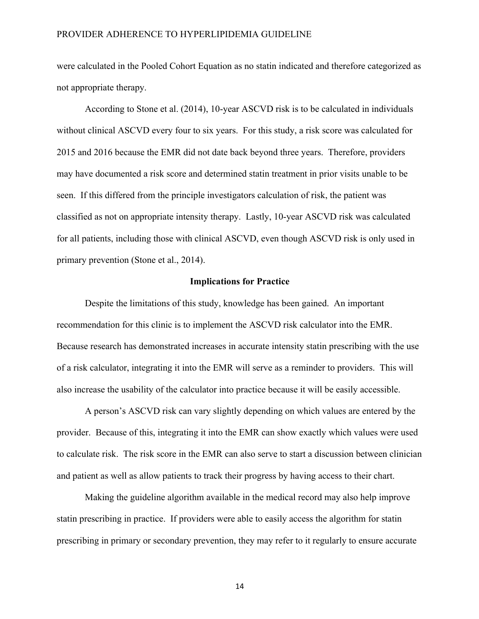were calculated in the Pooled Cohort Equation as no statin indicated and therefore categorized as not appropriate therapy.

According to Stone et al. (2014), 10-year ASCVD risk is to be calculated in individuals without clinical ASCVD every four to six years. For this study, a risk score was calculated for 2015 and 2016 because the EMR did not date back beyond three years. Therefore, providers may have documented a risk score and determined statin treatment in prior visits unable to be seen. If this differed from the principle investigators calculation of risk, the patient was classified as not on appropriate intensity therapy. Lastly, 10-year ASCVD risk was calculated for all patients, including those with clinical ASCVD, even though ASCVD risk is only used in primary prevention (Stone et al., 2014).

#### **Implications for Practice**

Despite the limitations of this study, knowledge has been gained. An important recommendation for this clinic is to implement the ASCVD risk calculator into the EMR. Because research has demonstrated increases in accurate intensity statin prescribing with the use of a risk calculator, integrating it into the EMR will serve as a reminder to providers. This will also increase the usability of the calculator into practice because it will be easily accessible.

A person's ASCVD risk can vary slightly depending on which values are entered by the provider. Because of this, integrating it into the EMR can show exactly which values were used to calculate risk. The risk score in the EMR can also serve to start a discussion between clinician and patient as well as allow patients to track their progress by having access to their chart.

Making the guideline algorithm available in the medical record may also help improve statin prescribing in practice. If providers were able to easily access the algorithm for statin prescribing in primary or secondary prevention, they may refer to it regularly to ensure accurate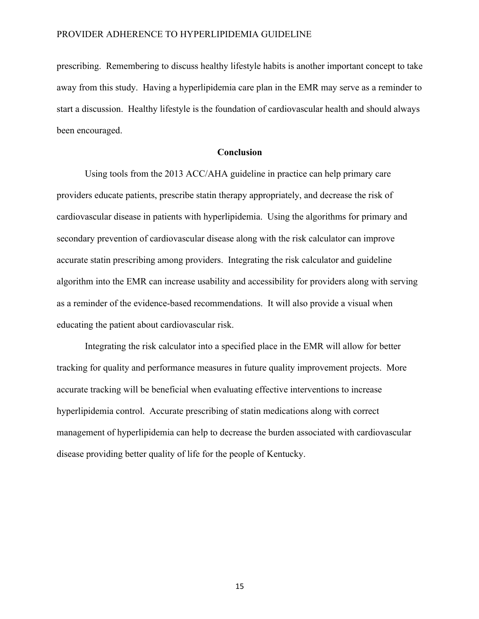prescribing. Remembering to discuss healthy lifestyle habits is another important concept to take away from this study. Having a hyperlipidemia care plan in the EMR may serve as a reminder to start a discussion. Healthy lifestyle is the foundation of cardiovascular health and should always been encouraged.

#### **Conclusion**

Using tools from the 2013 ACC/AHA guideline in practice can help primary care providers educate patients, prescribe statin therapy appropriately, and decrease the risk of cardiovascular disease in patients with hyperlipidemia. Using the algorithms for primary and secondary prevention of cardiovascular disease along with the risk calculator can improve accurate statin prescribing among providers. Integrating the risk calculator and guideline algorithm into the EMR can increase usability and accessibility for providers along with serving as a reminder of the evidence-based recommendations. It will also provide a visual when educating the patient about cardiovascular risk.

Integrating the risk calculator into a specified place in the EMR will allow for better tracking for quality and performance measures in future quality improvement projects. More accurate tracking will be beneficial when evaluating effective interventions to increase hyperlipidemia control. Accurate prescribing of statin medications along with correct management of hyperlipidemia can help to decrease the burden associated with cardiovascular disease providing better quality of life for the people of Kentucky.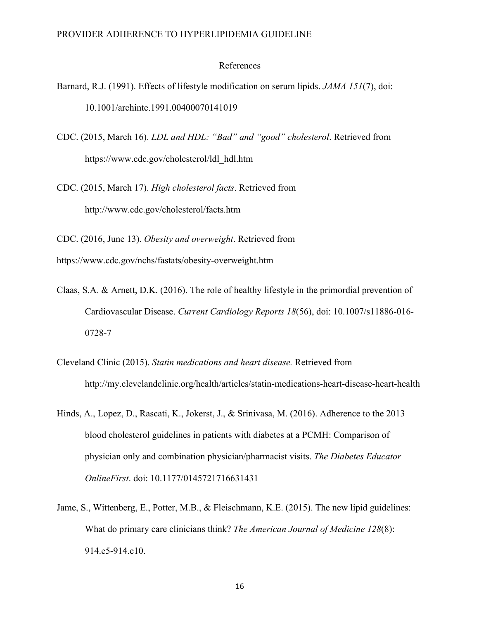#### References

- Barnard, R.J. (1991). Effects of lifestyle modification on serum lipids. *JAMA 151*(7), doi: 10.1001/archinte.1991.00400070141019
- CDC. (2015, March 16). *LDL and HDL: "Bad" and "good" cholesterol*. Retrieved from https://www.cdc.gov/cholesterol/ldl\_hdl.htm
- CDC. (2015, March 17). *High cholesterol facts*. Retrieved from http://www.cdc.gov/cholesterol/facts.htm

CDC. (2016, June 13). *Obesity and overweight*. Retrieved from https://www.cdc.gov/nchs/fastats/obesity-overweight.htm

- Claas, S.A. & Arnett, D.K. (2016). The role of healthy lifestyle in the primordial prevention of Cardiovascular Disease. *Current Cardiology Reports 18*(56), doi: 10.1007/s11886-016- 0728-7
- Cleveland Clinic (2015). *Statin medications and heart disease.* Retrieved from http://my.clevelandclinic.org/health/articles/statin-medications-heart-disease-heart-health
- Hinds, A., Lopez, D., Rascati, K., Jokerst, J., & Srinivasa, M. (2016). Adherence to the 2013 blood cholesterol guidelines in patients with diabetes at a PCMH: Comparison of physician only and combination physician/pharmacist visits. *The Diabetes Educator OnlineFirst*. doi: 10.1177/0145721716631431
- Jame, S., Wittenberg, E., Potter, M.B., & Fleischmann, K.E. (2015). The new lipid guidelines: What do primary care clinicians think? *The American Journal of Medicine 128*(8): 914.e5-914.e10.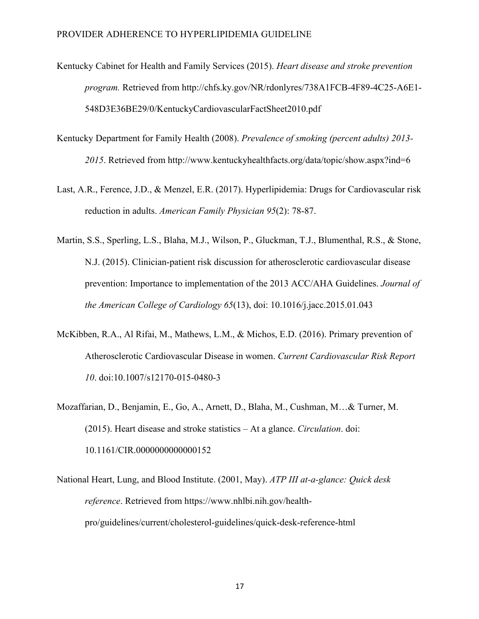- Kentucky Cabinet for Health and Family Services (2015). *Heart disease and stroke prevention program.* Retrieved from http://chfs.ky.gov/NR/rdonlyres/738A1FCB-4F89-4C25-A6E1- 548D3E36BE29/0/KentuckyCardiovascularFactSheet2010.pdf
- Kentucky Department for Family Health (2008). *Prevalence of smoking (percent adults) 2013- 2015*. Retrieved from http://www.kentuckyhealthfacts.org/data/topic/show.aspx?ind=6
- Last, A.R., Ference, J.D., & Menzel, E.R. (2017). Hyperlipidemia: Drugs for Cardiovascular risk reduction in adults. *American Family Physician 95*(2): 78-87.
- Martin, S.S., Sperling, L.S., Blaha, M.J., Wilson, P., Gluckman, T.J., Blumenthal, R.S., & Stone, N.J. (2015). Clinician-patient risk discussion for atherosclerotic cardiovascular disease prevention: Importance to implementation of the 2013 ACC/AHA Guidelines. *Journal of the American College of Cardiology 65*(13), doi: 10.1016/j.jacc.2015.01.043
- McKibben, R.A., Al Rifai, M., Mathews, L.M., & Michos, E.D. (2016). Primary prevention of Atherosclerotic Cardiovascular Disease in women. *Current Cardiovascular Risk Report 10*. doi:10.1007/s12170-015-0480-3
- Mozaffarian, D., Benjamin, E., Go, A., Arnett, D., Blaha, M., Cushman, M…& Turner, M. (2015). Heart disease and stroke statistics – At a glance. *Circulation*. doi: 10.1161/CIR.0000000000000152
- National Heart, Lung, and Blood Institute. (2001, May). *ATP III at-a-glance: Quick desk reference*. Retrieved from https://www.nhlbi.nih.gov/healthpro/guidelines/current/cholesterol-guidelines/quick-desk-reference-html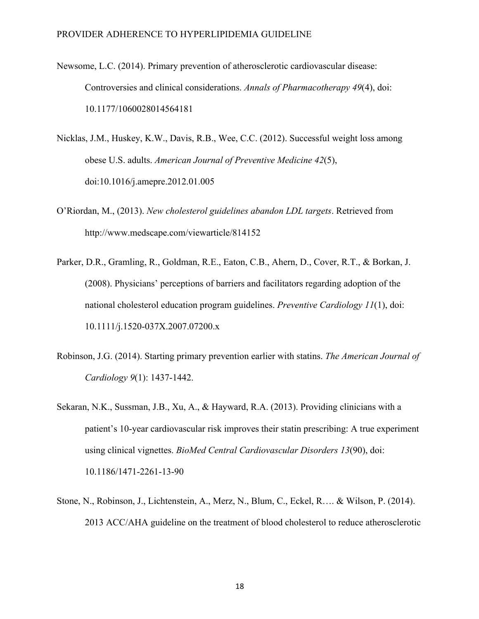- Newsome, L.C. (2014). Primary prevention of atherosclerotic cardiovascular disease: Controversies and clinical considerations. *Annals of Pharmacotherapy 49*(4), doi: 10.1177/1060028014564181
- Nicklas, J.M., Huskey, K.W., Davis, R.B., Wee, C.C. (2012). Successful weight loss among obese U.S. adults. *American Journal of Preventive Medicine 42*(5), doi:10.1016/j.amepre.2012.01.005
- O'Riordan, M., (2013). *New cholesterol guidelines abandon LDL targets*. Retrieved from http://www.medscape.com/viewarticle/814152
- Parker, D.R., Gramling, R., Goldman, R.E., Eaton, C.B., Ahern, D., Cover, R.T., & Borkan, J. (2008). Physicians' perceptions of barriers and facilitators regarding adoption of the national cholesterol education program guidelines. *Preventive Cardiology 11*(1), doi: 10.1111/j.1520-037X.2007.07200.x
- Robinson, J.G. (2014). Starting primary prevention earlier with statins. *The American Journal of Cardiology 9*(1): 1437-1442.
- Sekaran, N.K., Sussman, J.B., Xu, A., & Hayward, R.A. (2013). Providing clinicians with a patient's 10-year cardiovascular risk improves their statin prescribing: A true experiment using clinical vignettes. *BioMed Central Cardiovascular Disorders 13*(90), doi: 10.1186/1471-2261-13-90
- Stone, N., Robinson, J., Lichtenstein, A., Merz, N., Blum, C., Eckel, R…. & Wilson, P. (2014). 2013 ACC/AHA guideline on the treatment of blood cholesterol to reduce atherosclerotic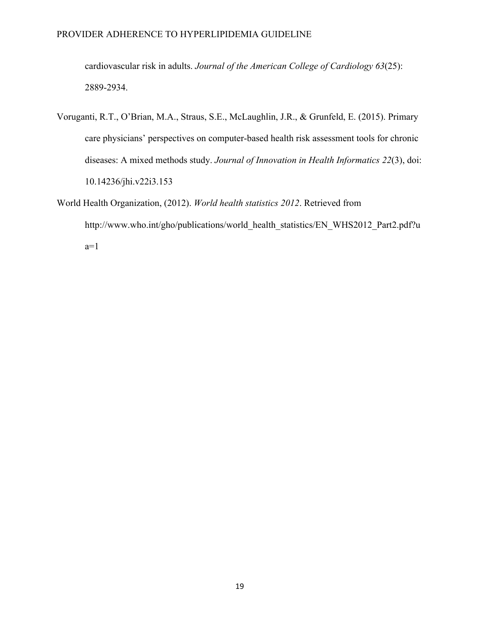cardiovascular risk in adults. *Journal of the American College of Cardiology 63*(25): 2889-2934.

- Voruganti, R.T., O'Brian, M.A., Straus, S.E., McLaughlin, J.R., & Grunfeld, E. (2015). Primary care physicians' perspectives on computer-based health risk assessment tools for chronic diseases: A mixed methods study. *Journal of Innovation in Health Informatics 22*(3), doi: 10.14236/jhi.v22i3.153
- World Health Organization, (2012). *World health statistics 2012*. Retrieved from http://www.who.int/gho/publications/world\_health\_statistics/EN\_WHS2012\_Part2.pdf?u  $a=1$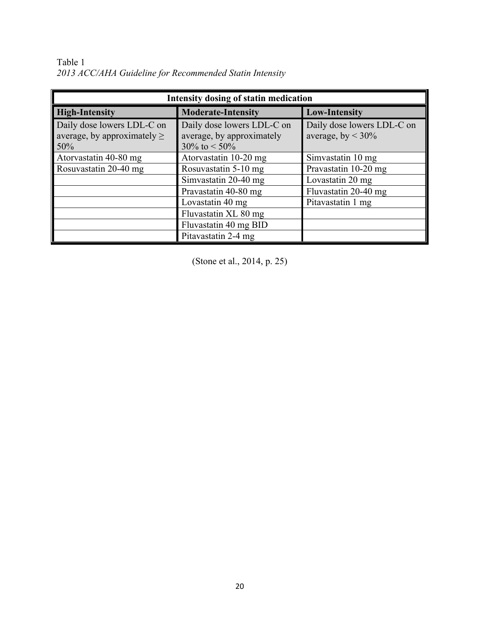Table 1 *2013 ACC/AHA Guideline for Recommended Statin Intensity*

| Intensity dosing of statin medication                                 |                                                                                  |                                                       |  |
|-----------------------------------------------------------------------|----------------------------------------------------------------------------------|-------------------------------------------------------|--|
| <b>High-Intensity</b>                                                 | <b>Moderate-Intensity</b>                                                        | <b>Low-Intensity</b>                                  |  |
| Daily dose lowers LDL-C on<br>average, by approximately $\geq$<br>50% | Daily dose lowers LDL-C on<br>average, by approximately<br>$30\%$ to $\leq 50\%$ | Daily dose lowers LDL-C on<br>average, by $\leq 30\%$ |  |
| Atorvastatin 40-80 mg                                                 | Atorvastatin 10-20 mg                                                            | Simvastatin 10 mg                                     |  |
| Rosuvastatin 20-40 mg                                                 | Rosuvastatin 5-10 mg                                                             | Pravastatin 10-20 mg                                  |  |
|                                                                       | Simvastatin 20-40 mg                                                             | Lovastatin 20 mg                                      |  |
|                                                                       | Pravastatin 40-80 mg                                                             | Fluvastatin 20-40 mg                                  |  |
|                                                                       | Lovastatin 40 mg                                                                 | Pitavastatin 1 mg                                     |  |
|                                                                       | Fluvastatin XL 80 mg                                                             |                                                       |  |
|                                                                       | Fluvastatin 40 mg BID                                                            |                                                       |  |
|                                                                       | Pitavastatin 2-4 mg                                                              |                                                       |  |

(Stone et al., 2014, p. 25)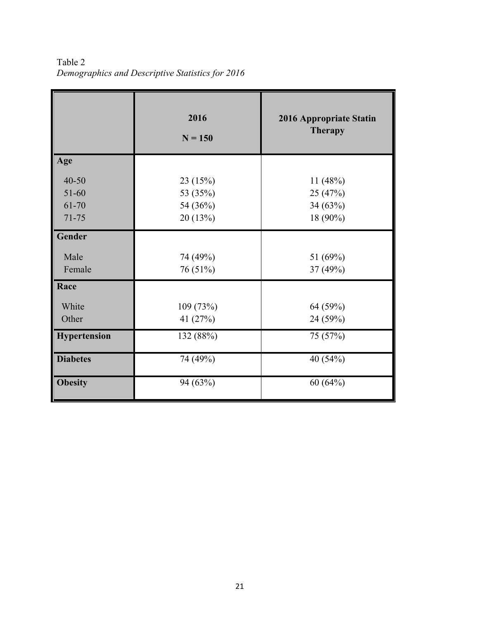Table 2 *Demographics and Descriptive Statistics for 2016*

|                                          | 2016<br>$N = 150$                           | 2016 Appropriate Statin<br><b>Therapy</b>     |
|------------------------------------------|---------------------------------------------|-----------------------------------------------|
| Age                                      |                                             |                                               |
| $40 - 50$<br>51-60<br>61-70<br>$71 - 75$ | 23 (15%)<br>53 (35%)<br>54 (36%)<br>20(13%) | 11(48%)<br>25 (47%)<br>34 $(63%)$<br>18 (90%) |
| Gender                                   |                                             |                                               |
| Male<br>Female                           | 74 (49%)<br>76 (51%)                        | 51 (69%)<br>37 (49%)                          |
| Race                                     |                                             |                                               |
| White<br>Other                           | 109 (73%)<br>41 (27%)                       | 64 (59%)<br>24 (59%)                          |
| Hypertension                             | 132 (88%)                                   | 75 (57%)                                      |
| <b>Diabetes</b>                          | 74 (49%)                                    | 40 (54%)                                      |
| <b>Obesity</b>                           | 94 (63%)                                    | 60(64%)                                       |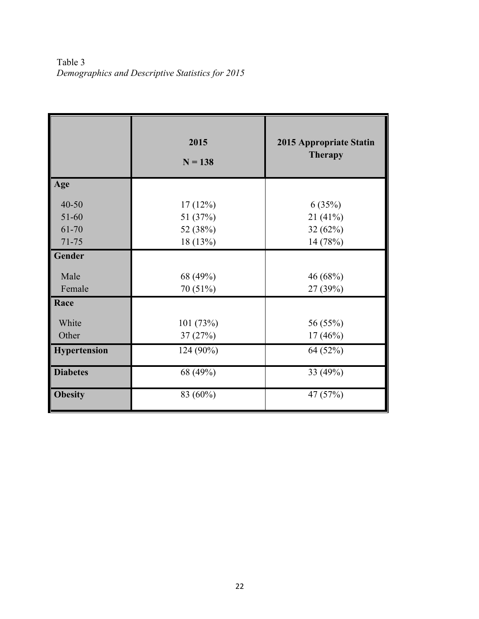Table 3 *Demographics and Descriptive Statistics for 2015*

|                                 | 2015<br>$N = 138$               | 2015 Appropriate Statin<br><b>Therapy</b> |
|---------------------------------|---------------------------------|-------------------------------------------|
| Age                             |                                 |                                           |
| $40 - 50$<br>$51 - 60$<br>61-70 | 17(12%)<br>51 (37%)<br>52 (38%) | 6(35%)<br>21 (41%)<br>32(62%)             |
| $71 - 75$                       | 18 (13%)                        | 14 (78%)                                  |
| Gender                          |                                 |                                           |
| Male<br>Female                  | 68 (49%)<br>70 (51%)            | 46 (68%)<br>27 (39%)                      |
| Race                            |                                 |                                           |
| White<br>Other                  | 101 (73%)<br>37(27%)            | 56 (55%)<br>$17(46\%)$                    |
| Hypertension                    | 124 (90%)                       | 64 (52%)                                  |
| <b>Diabetes</b>                 | 68 (49%)                        | 33 (49%)                                  |
| <b>Obesity</b>                  | 83 (60%)                        | 47 (57%)                                  |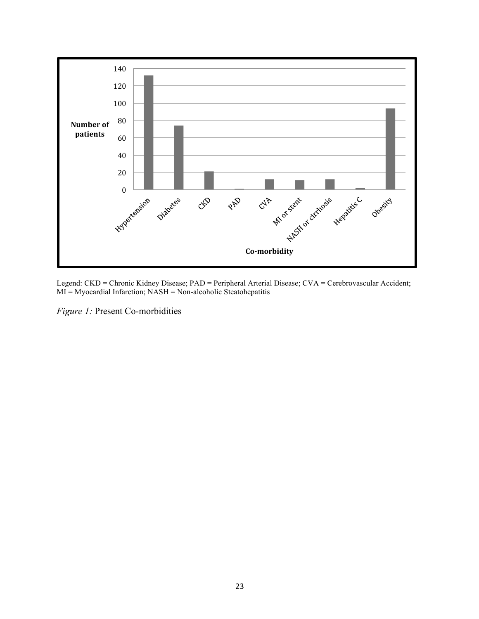

Legend: CKD = Chronic Kidney Disease; PAD = Peripheral Arterial Disease; CVA = Cerebrovascular Accident; MI = Myocardial Infarction; NASH = Non-alcoholic Steatohepatitis

*Figure 1:* Present Co-morbidities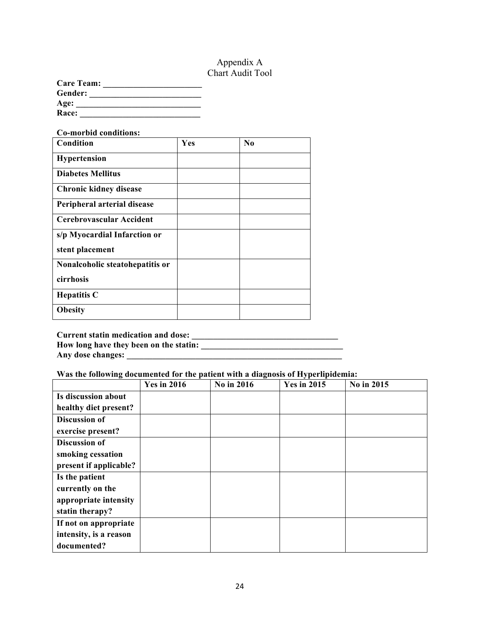# Appendix A Chart Audit Tool

| <b>Care Team:</b> |  |
|-------------------|--|
| Gender:           |  |
| Age:              |  |
| Race:             |  |

#### **Co-morbid conditions:**

| Condition                       | Yes | N <sub>0</sub> |
|---------------------------------|-----|----------------|
| Hypertension                    |     |                |
| <b>Diabetes Mellitus</b>        |     |                |
| <b>Chronic kidney disease</b>   |     |                |
| Peripheral arterial disease     |     |                |
| Cerebrovascular Accident        |     |                |
| s/p Myocardial Infarction or    |     |                |
| stent placement                 |     |                |
| Nonalcoholic steatohepatitis or |     |                |
| cirrhosis                       |     |                |
| <b>Hepatitis C</b>              |     |                |
| <b>Obesity</b>                  |     |                |

**Current statin medication and dose: \_\_\_\_\_\_\_\_\_\_\_\_\_\_\_\_\_\_\_\_\_\_\_\_\_\_\_\_\_\_\_\_\_\_**

**How long have they been on the statin: \_\_\_\_\_\_\_\_\_\_\_\_\_\_\_\_\_\_\_\_\_\_\_\_\_\_\_\_\_\_\_\_\_ Any dose changes: \_\_\_\_\_\_\_\_\_\_\_\_\_\_\_\_\_\_\_\_\_\_\_\_\_\_\_\_\_\_\_\_\_\_\_\_\_\_\_\_\_\_\_\_\_\_\_\_\_\_**

**Was the following documented for the patient with a diagnosis of Hyperlipidemia:**

|                        | <b>Yes in 2016</b> | No in 2016 | <b>Yes in 2015</b> | No in 2015 |
|------------------------|--------------------|------------|--------------------|------------|
| Is discussion about    |                    |            |                    |            |
| healthy diet present?  |                    |            |                    |            |
| Discussion of          |                    |            |                    |            |
| exercise present?      |                    |            |                    |            |
| <b>Discussion of</b>   |                    |            |                    |            |
| smoking cessation      |                    |            |                    |            |
| present if applicable? |                    |            |                    |            |
| Is the patient         |                    |            |                    |            |
| currently on the       |                    |            |                    |            |
| appropriate intensity  |                    |            |                    |            |
| statin therapy?        |                    |            |                    |            |
| If not on appropriate  |                    |            |                    |            |
| intensity, is a reason |                    |            |                    |            |
| documented?            |                    |            |                    |            |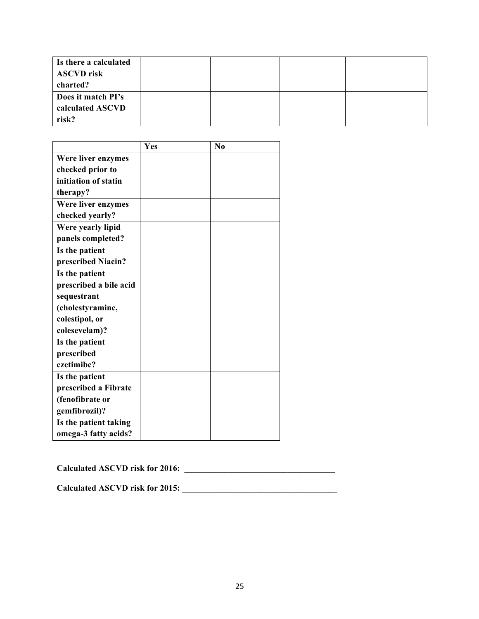| Is there a calculated<br><b>ASCVD</b> risk<br>charted? |  |  |
|--------------------------------------------------------|--|--|
| Does it match PI's<br>calculated ASCVD                 |  |  |
| risk?                                                  |  |  |

|                        | Yes | N <sub>0</sub> |
|------------------------|-----|----------------|
| Were liver enzymes     |     |                |
| checked prior to       |     |                |
| initiation of statin   |     |                |
| therapy?               |     |                |
| Were liver enzymes     |     |                |
| checked yearly?        |     |                |
| Were yearly lipid      |     |                |
| panels completed?      |     |                |
| Is the patient         |     |                |
| prescribed Niacin?     |     |                |
| Is the patient         |     |                |
| prescribed a bile acid |     |                |
| sequestrant            |     |                |
| (cholestyramine,       |     |                |
| colestipol, or         |     |                |
| colesevelam)?          |     |                |
| Is the patient         |     |                |
| prescribed             |     |                |
| ezetimibe?             |     |                |
| Is the patient         |     |                |
| prescribed a Fibrate   |     |                |
| (fenofibrate or        |     |                |
| gemfibrozil)?          |     |                |
| Is the patient taking  |     |                |
| omega-3 fatty acids?   |     |                |

**Calculated ASCVD risk for 2016: \_\_\_\_\_\_\_\_\_\_\_\_\_\_\_\_\_\_\_\_\_\_\_\_\_\_\_\_\_\_\_\_\_\_\_**

**Calculated ASCVD risk for 2015: \_\_\_\_\_\_\_\_\_\_\_\_\_\_\_\_\_\_\_\_\_\_\_\_\_\_\_\_\_\_\_\_\_\_\_\_**